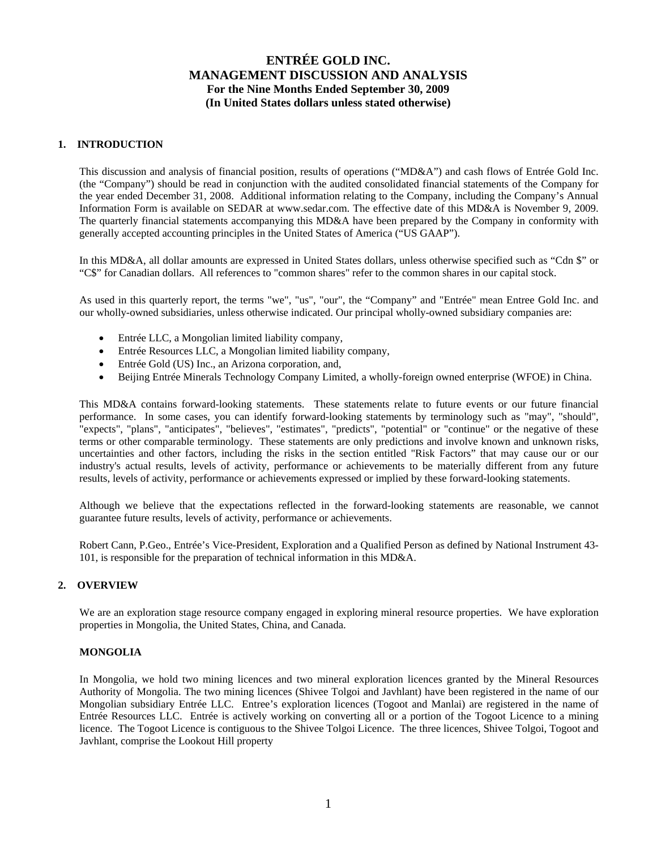### **1. INTRODUCTION**

This discussion and analysis of financial position, results of operations ("MD&A") and cash flows of Entrée Gold Inc. (the "Company") should be read in conjunction with the audited consolidated financial statements of the Company for the year ended December 31, 2008. Additional information relating to the Company, including the Company's Annual Information Form is available on SEDAR at www.sedar.com. The effective date of this MD&A is November 9, 2009. The quarterly financial statements accompanying this MD&A have been prepared by the Company in conformity with generally accepted accounting principles in the United States of America ("US GAAP").

In this MD&A, all dollar amounts are expressed in United States dollars, unless otherwise specified such as "Cdn \$" or "C\$" for Canadian dollars. All references to "common shares" refer to the common shares in our capital stock.

As used in this quarterly report, the terms "we", "us", "our", the "Company" and "Entrée" mean Entree Gold Inc. and our wholly-owned subsidiaries, unless otherwise indicated. Our principal wholly-owned subsidiary companies are:

- Entrée LLC, a Mongolian limited liability company,
- Entrée Resources LLC, a Mongolian limited liability company,
- Entrée Gold (US) Inc., an Arizona corporation, and,
- Beijing Entrée Minerals Technology Company Limited, a wholly-foreign owned enterprise (WFOE) in China.

This MD&A contains forward-looking statements. These statements relate to future events or our future financial performance. In some cases, you can identify forward-looking statements by terminology such as "may", "should", "expects", "plans", "anticipates", "believes", "estimates", "predicts", "potential" or "continue" or the negative of these terms or other comparable terminology. These statements are only predictions and involve known and unknown risks, uncertainties and other factors, including the risks in the section entitled "Risk Factors" that may cause our or our industry's actual results, levels of activity, performance or achievements to be materially different from any future results, levels of activity, performance or achievements expressed or implied by these forward-looking statements.

Although we believe that the expectations reflected in the forward-looking statements are reasonable, we cannot guarantee future results, levels of activity, performance or achievements.

Robert Cann, P.Geo., Entrée's Vice-President, Exploration and a Qualified Person as defined by National Instrument 43- 101, is responsible for the preparation of technical information in this MD&A.

### **2. OVERVIEW**

We are an exploration stage resource company engaged in exploring mineral resource properties. We have exploration properties in Mongolia, the United States, China, and Canada.

### **MONGOLIA**

In Mongolia, we hold two mining licences and two mineral exploration licences granted by the Mineral Resources Authority of Mongolia. The two mining licences (Shivee Tolgoi and Javhlant) have been registered in the name of our Mongolian subsidiary Entrée LLC. Entree's exploration licences (Togoot and Manlai) are registered in the name of Entrée Resources LLC. Entrée is actively working on converting all or a portion of the Togoot Licence to a mining licence. The Togoot Licence is contiguous to the Shivee Tolgoi Licence. The three licences, Shivee Tolgoi, Togoot and Javhlant, comprise the Lookout Hill property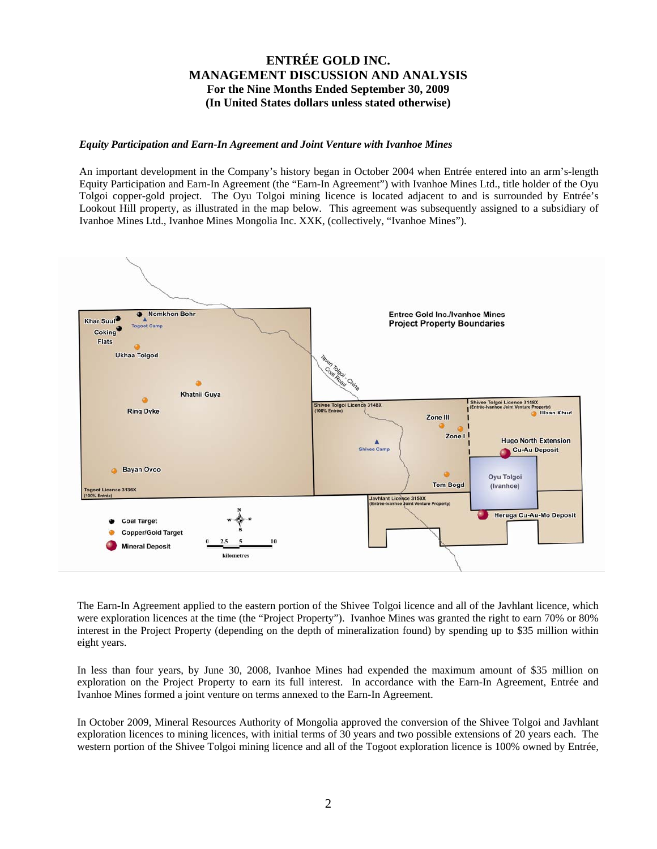#### *Equity Participation and Earn-In Agreement and Joint Venture with Ivanhoe Mines*

An important development in the Company's history began in October 2004 when Entrée entered into an arm's-length Equity Participation and Earn-In Agreement (the "Earn-In Agreement") with Ivanhoe Mines Ltd., title holder of the Oyu Tolgoi copper-gold project. The Oyu Tolgoi mining licence is located adjacent to and is surrounded by Entrée's Lookout Hill property, as illustrated in the map below. This agreement was subsequently assigned to a subsidiary of Ivanhoe Mines Ltd., Ivanhoe Mines Mongolia Inc. XXK, (collectively, "Ivanhoe Mines").



The Earn-In Agreement applied to the eastern portion of the Shivee Tolgoi licence and all of the Javhlant licence, which were exploration licences at the time (the "Project Property"). Ivanhoe Mines was granted the right to earn 70% or 80% interest in the Project Property (depending on the depth of mineralization found) by spending up to \$35 million within eight years.

In less than four years, by June 30, 2008, Ivanhoe Mines had expended the maximum amount of \$35 million on exploration on the Project Property to earn its full interest. In accordance with the Earn-In Agreement, Entrée and Ivanhoe Mines formed a joint venture on terms annexed to the Earn-In Agreement.

In October 2009, Mineral Resources Authority of Mongolia approved the conversion of the Shivee Tolgoi and Javhlant exploration licences to mining licences, with initial terms of 30 years and two possible extensions of 20 years each. The western portion of the Shivee Tolgoi mining licence and all of the Togoot exploration licence is 100% owned by Entrée,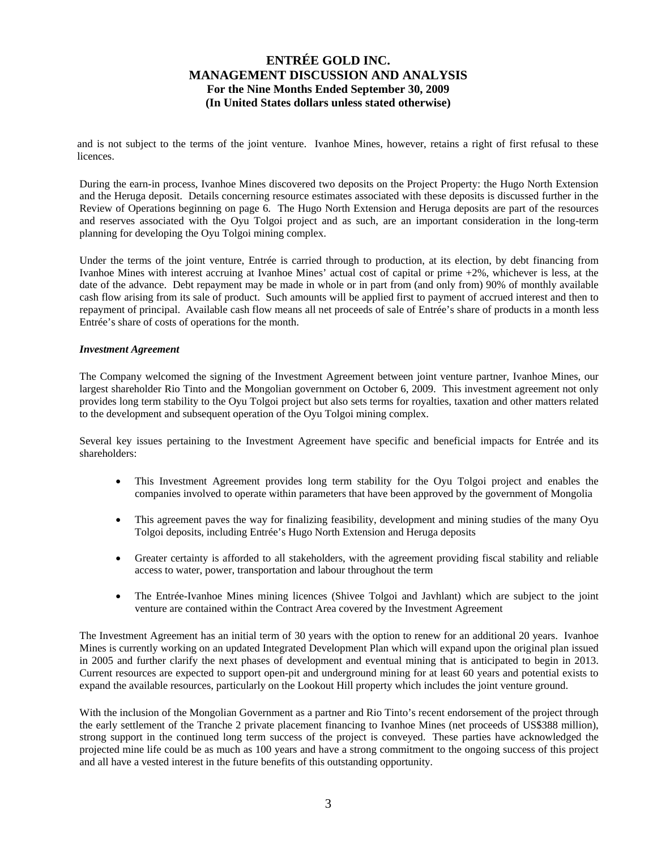and is not subject to the terms of the joint venture. Ivanhoe Mines, however, retains a right of first refusal to these licences.

During the earn-in process, Ivanhoe Mines discovered two deposits on the Project Property: the Hugo North Extension and the Heruga deposit. Details concerning resource estimates associated with these deposits is discussed further in the Review of Operations beginning on page 6. The Hugo North Extension and Heruga deposits are part of the resources and reserves associated with the Oyu Tolgoi project and as such, are an important consideration in the long-term planning for developing the Oyu Tolgoi mining complex.

Under the terms of the joint venture, Entrée is carried through to production, at its election, by debt financing from Ivanhoe Mines with interest accruing at Ivanhoe Mines' actual cost of capital or prime +2%, whichever is less, at the date of the advance. Debt repayment may be made in whole or in part from (and only from) 90% of monthly available cash flow arising from its sale of product. Such amounts will be applied first to payment of accrued interest and then to repayment of principal. Available cash flow means all net proceeds of sale of Entrée's share of products in a month less Entrée's share of costs of operations for the month.

#### *Investment Agreement*

The Company welcomed the signing of the Investment Agreement between joint venture partner, Ivanhoe Mines, our largest shareholder Rio Tinto and the Mongolian government on October 6, 2009. This investment agreement not only provides long term stability to the Oyu Tolgoi project but also sets terms for royalties, taxation and other matters related to the development and subsequent operation of the Oyu Tolgoi mining complex.

Several key issues pertaining to the Investment Agreement have specific and beneficial impacts for Entrée and its shareholders:

- This Investment Agreement provides long term stability for the Oyu Tolgoi project and enables the companies involved to operate within parameters that have been approved by the government of Mongolia
- This agreement paves the way for finalizing feasibility, development and mining studies of the many Oyu Tolgoi deposits, including Entrée's Hugo North Extension and Heruga deposits
- Greater certainty is afforded to all stakeholders, with the agreement providing fiscal stability and reliable access to water, power, transportation and labour throughout the term
- The Entrée-Ivanhoe Mines mining licences (Shivee Tolgoi and Javhlant) which are subject to the joint venture are contained within the Contract Area covered by the Investment Agreement

The Investment Agreement has an initial term of 30 years with the option to renew for an additional 20 years. Ivanhoe Mines is currently working on an updated Integrated Development Plan which will expand upon the original plan issued in 2005 and further clarify the next phases of development and eventual mining that is anticipated to begin in 2013. Current resources are expected to support open-pit and underground mining for at least 60 years and potential exists to expand the available resources, particularly on the Lookout Hill property which includes the joint venture ground.

With the inclusion of the Mongolian Government as a partner and Rio Tinto's recent endorsement of the project through the early settlement of the Tranche 2 private placement financing to Ivanhoe Mines (net proceeds of US\$388 million), strong support in the continued long term success of the project is conveyed. These parties have acknowledged the projected mine life could be as much as 100 years and have a strong commitment to the ongoing success of this project and all have a vested interest in the future benefits of this outstanding opportunity.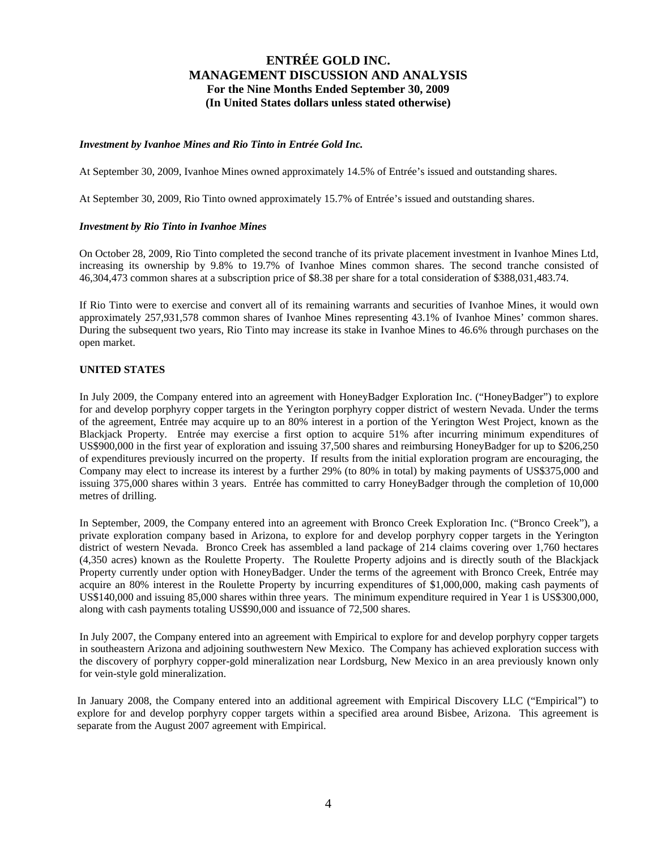### *Investment by Ivanhoe Mines and Rio Tinto in Entrée Gold Inc.*

At September 30, 2009, Ivanhoe Mines owned approximately 14.5% of Entrée's issued and outstanding shares.

At September 30, 2009, Rio Tinto owned approximately 15.7% of Entrée's issued and outstanding shares.

### *Investment by Rio Tinto in Ivanhoe Mines*

On October 28, 2009, Rio Tinto completed the second tranche of its private placement investment in Ivanhoe Mines Ltd, increasing its ownership by 9.8% to 19.7% of Ivanhoe Mines common shares. The second tranche consisted of 46,304,473 common shares at a subscription price of \$8.38 per share for a total consideration of \$388,031,483.74.

If Rio Tinto were to exercise and convert all of its remaining warrants and securities of Ivanhoe Mines, it would own approximately 257,931,578 common shares of Ivanhoe Mines representing 43.1% of Ivanhoe Mines' common shares. During the subsequent two years, Rio Tinto may increase its stake in Ivanhoe Mines to 46.6% through purchases on the open market.

### **UNITED STATES**

In July 2009, the Company entered into an agreement with HoneyBadger Exploration Inc. ("HoneyBadger") to explore for and develop porphyry copper targets in the Yerington porphyry copper district of western Nevada. Under the terms of the agreement, Entrée may acquire up to an 80% interest in a portion of the Yerington West Project, known as the Blackjack Property. Entrée may exercise a first option to acquire 51% after incurring minimum expenditures of US\$900,000 in the first year of exploration and issuing 37,500 shares and reimbursing HoneyBadger for up to \$206,250 of expenditures previously incurred on the property. If results from the initial exploration program are encouraging, the Company may elect to increase its interest by a further 29% (to 80% in total) by making payments of US\$375,000 and issuing 375,000 shares within 3 years. Entrée has committed to carry HoneyBadger through the completion of 10,000 metres of drilling.

In September, 2009, the Company entered into an agreement with Bronco Creek Exploration Inc. ("Bronco Creek"), a private exploration company based in Arizona, to explore for and develop porphyry copper targets in the Yerington district of western Nevada. Bronco Creek has assembled a land package of 214 claims covering over 1,760 hectares (4,350 acres) known as the Roulette Property. The Roulette Property adjoins and is directly south of the Blackjack Property currently under option with HoneyBadger. Under the terms of the agreement with Bronco Creek, Entrée may acquire an 80% interest in the Roulette Property by incurring expenditures of \$1,000,000, making cash payments of US\$140,000 and issuing 85,000 shares within three years. The minimum expenditure required in Year 1 is US\$300,000, along with cash payments totaling US\$90,000 and issuance of 72,500 shares.

In July 2007, the Company entered into an agreement with Empirical to explore for and develop porphyry copper targets in southeastern Arizona and adjoining southwestern New Mexico. The Company has achieved exploration success with the discovery of porphyry copper-gold mineralization near Lordsburg, New Mexico in an area previously known only for vein-style gold mineralization.

In January 2008, the Company entered into an additional agreement with Empirical Discovery LLC ("Empirical") to explore for and develop porphyry copper targets within a specified area around Bisbee, Arizona. This agreement is separate from the August 2007 agreement with Empirical.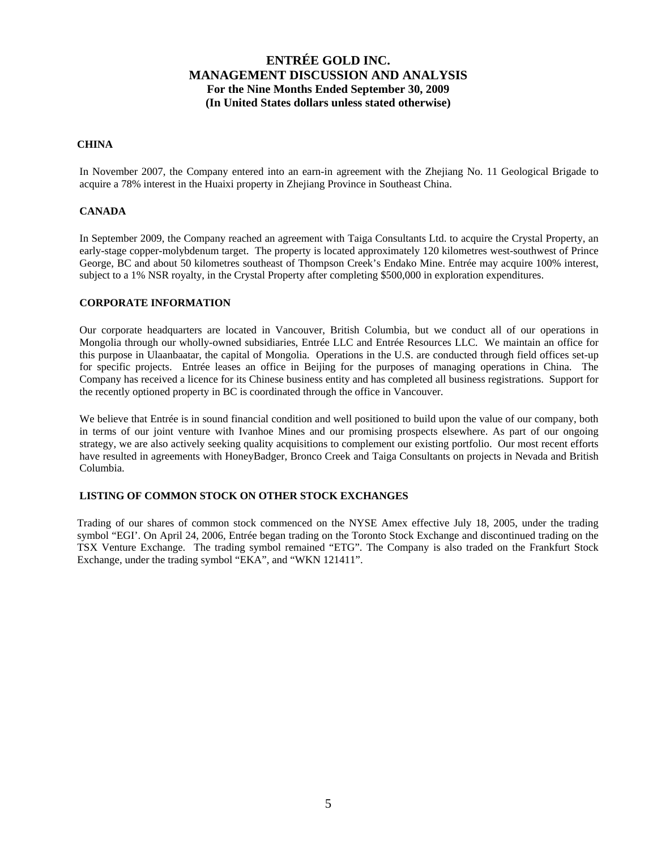### **CHINA**

In November 2007, the Company entered into an earn-in agreement with the Zhejiang No. 11 Geological Brigade to acquire a 78% interest in the Huaixi property in Zhejiang Province in Southeast China.

### **CANADA**

In September 2009, the Company reached an agreement with Taiga Consultants Ltd. to acquire the Crystal Property, an early-stage copper-molybdenum target. The property is located approximately 120 kilometres west-southwest of Prince George, BC and about 50 kilometres southeast of Thompson Creek's Endako Mine. Entrée may acquire 100% interest, subject to a 1% NSR royalty, in the Crystal Property after completing \$500,000 in exploration expenditures.

### **CORPORATE INFORMATION**

Our corporate headquarters are located in Vancouver, British Columbia, but we conduct all of our operations in Mongolia through our wholly-owned subsidiaries, Entrée LLC and Entrée Resources LLC. We maintain an office for this purpose in Ulaanbaatar, the capital of Mongolia. Operations in the U.S. are conducted through field offices set-up for specific projects. Entrée leases an office in Beijing for the purposes of managing operations in China. The Company has received a licence for its Chinese business entity and has completed all business registrations. Support for the recently optioned property in BC is coordinated through the office in Vancouver.

We believe that Entrée is in sound financial condition and well positioned to build upon the value of our company, both in terms of our joint venture with Ivanhoe Mines and our promising prospects elsewhere. As part of our ongoing strategy, we are also actively seeking quality acquisitions to complement our existing portfolio. Our most recent efforts have resulted in agreements with HoneyBadger, Bronco Creek and Taiga Consultants on projects in Nevada and British Columbia.

### **LISTING OF COMMON STOCK ON OTHER STOCK EXCHANGES**

Trading of our shares of common stock commenced on the NYSE Amex effective July 18, 2005, under the trading symbol "EGI'. On April 24, 2006, Entrée began trading on the Toronto Stock Exchange and discontinued trading on the TSX Venture Exchange. The trading symbol remained "ETG". The Company is also traded on the Frankfurt Stock Exchange, under the trading symbol "EKA", and "WKN 121411".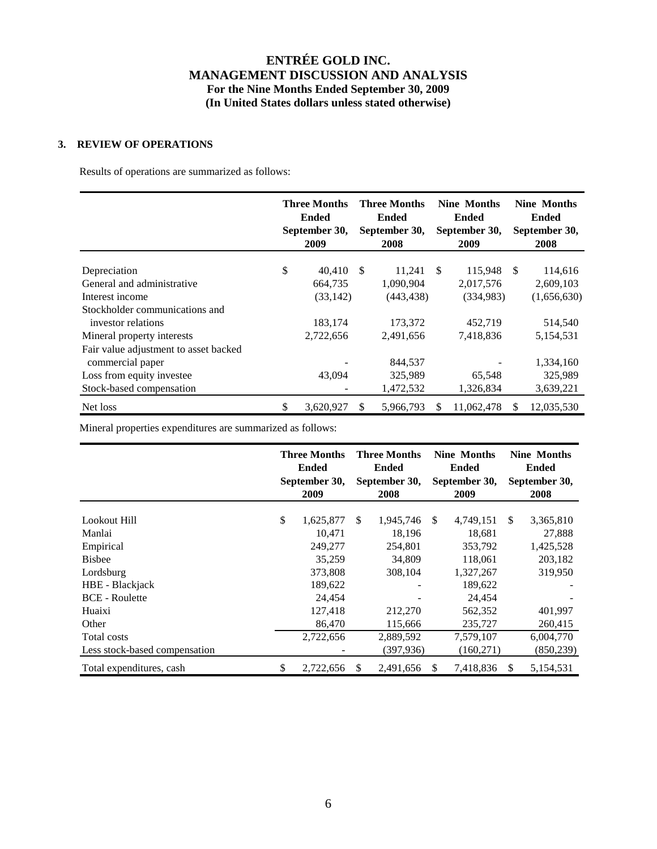## **3. REVIEW OF OPERATIONS**

Results of operations are summarized as follows:

|                                       | <b>Three Months</b><br><b>Ended</b><br>September 30,<br>2009 |    | <b>Three Months</b><br><b>Ended</b><br>September 30,<br>2008 |    | <b>Nine Months</b><br><b>Ended</b><br>September 30,<br>2009 |    | <b>Nine Months</b><br><b>Ended</b><br>September 30,<br>2008 |
|---------------------------------------|--------------------------------------------------------------|----|--------------------------------------------------------------|----|-------------------------------------------------------------|----|-------------------------------------------------------------|
| Depreciation                          | \$<br>40,410                                                 | -S | 11,241                                                       | -S | 115,948                                                     | -S | 114,616                                                     |
| General and administrative            | 664,735                                                      |    | 1,090,904                                                    |    | 2,017,576                                                   |    | 2,609,103                                                   |
| Interest income                       | (33, 142)                                                    |    | (443, 438)                                                   |    | (334,983)                                                   |    | (1,656,630)                                                 |
| Stockholder communications and        |                                                              |    |                                                              |    |                                                             |    |                                                             |
| investor relations                    | 183,174                                                      |    | 173,372                                                      |    | 452,719                                                     |    | 514,540                                                     |
| Mineral property interests            | 2,722,656                                                    |    | 2,491,656                                                    |    | 7,418,836                                                   |    | 5,154,531                                                   |
| Fair value adjustment to asset backed |                                                              |    |                                                              |    |                                                             |    |                                                             |
| commercial paper                      |                                                              |    | 844.537                                                      |    |                                                             |    | 1,334,160                                                   |
| Loss from equity investee             | 43,094                                                       |    | 325,989                                                      |    | 65,548                                                      |    | 325,989                                                     |
| Stock-based compensation              |                                                              |    | 1,472,532                                                    |    | 1,326,834                                                   |    | 3,639,221                                                   |
| Net loss                              | \$<br>3,620,927                                              | S. | 5,966,793                                                    |    | 11,062,478                                                  | S  | 12,035,530                                                  |

Mineral properties expenditures are summarized as follows:

|                               | <b>Three Months</b><br><b>Ended</b><br>September 30,<br>2009 |    | <b>Three Months</b><br><b>Ended</b><br>September 30,<br>2008 |    | <b>Nine Months</b><br><b>Ended</b><br>September 30,<br>2009 |               | <b>Nine Months</b><br><b>Ended</b><br>September 30,<br>2008 |
|-------------------------------|--------------------------------------------------------------|----|--------------------------------------------------------------|----|-------------------------------------------------------------|---------------|-------------------------------------------------------------|
| Lookout Hill                  | \$<br>1,625,877                                              | \$ | 1,945,746                                                    | \$ | 4,749,151                                                   | <sup>\$</sup> | 3,365,810                                                   |
| Manlai                        | 10,471                                                       |    | 18,196                                                       |    | 18,681                                                      |               | 27,888                                                      |
|                               |                                                              |    |                                                              |    |                                                             |               |                                                             |
| Empirical                     | 249,277                                                      |    | 254.801                                                      |    | 353,792                                                     |               | 1,425,528                                                   |
| <b>Bisbee</b>                 | 35,259                                                       |    | 34.809                                                       |    | 118,061                                                     |               | 203,182                                                     |
| Lordsburg                     | 373,808                                                      |    | 308,104                                                      |    | 1,327,267                                                   |               | 319,950                                                     |
| HBE - Blackjack               | 189,622                                                      |    |                                                              |    | 189,622                                                     |               |                                                             |
| <b>BCE</b> - Roulette         | 24,454                                                       |    |                                                              |    | 24,454                                                      |               |                                                             |
| Huaixi                        | 127,418                                                      |    | 212,270                                                      |    | 562,352                                                     |               | 401,997                                                     |
| Other                         | 86,470                                                       |    | 115,666                                                      |    | 235,727                                                     |               | 260,415                                                     |
| Total costs                   | 2,722,656                                                    |    | 2,889,592                                                    |    | 7,579,107                                                   |               | 6,004,770                                                   |
| Less stock-based compensation |                                                              |    | (397,936)                                                    |    | (160, 271)                                                  |               | (850, 239)                                                  |
| Total expenditures, cash      | \$<br>2,722,656                                              | S  | 2,491,656                                                    | S  | 7,418,836                                                   | S             | 5,154,531                                                   |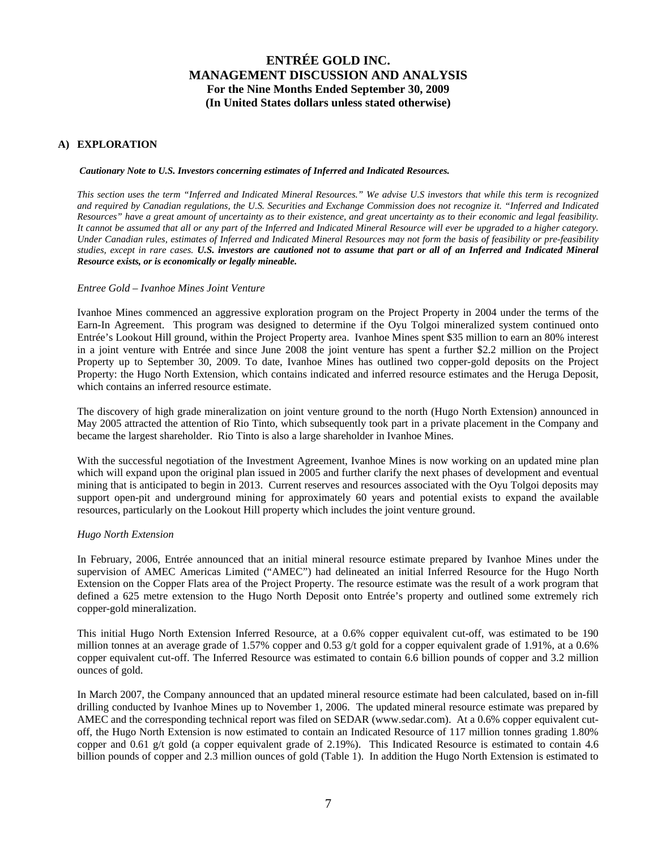## **A) EXPLORATION**

#### *Cautionary Note to U.S. Investors concerning estimates of Inferred and Indicated Resources.*

*This section uses the term "Inferred and Indicated Mineral Resources." We advise U.S investors that while this term is recognized and required by Canadian regulations, the U.S. Securities and Exchange Commission does not recognize it. "Inferred and Indicated Resources" have a great amount of uncertainty as to their existence, and great uncertainty as to their economic and legal feasibility. It cannot be assumed that all or any part of the Inferred and Indicated Mineral Resource will ever be upgraded to a higher category. Under Canadian rules, estimates of Inferred and Indicated Mineral Resources may not form the basis of feasibility or pre-feasibility studies, except in rare cases. U.S. investors are cautioned not to assume that part or all of an Inferred and Indicated Mineral Resource exists, or is economically or legally mineable.*

#### *Entree Gold – Ivanhoe Mines Joint Venture*

Ivanhoe Mines commenced an aggressive exploration program on the Project Property in 2004 under the terms of the Earn-In Agreement. This program was designed to determine if the Oyu Tolgoi mineralized system continued onto Entrée's Lookout Hill ground, within the Project Property area. Ivanhoe Mines spent \$35 million to earn an 80% interest in a joint venture with Entrée and since June 2008 the joint venture has spent a further \$2.2 million on the Project Property up to September 30, 2009. To date, Ivanhoe Mines has outlined two copper-gold deposits on the Project Property: the Hugo North Extension, which contains indicated and inferred resource estimates and the Heruga Deposit, which contains an inferred resource estimate.

The discovery of high grade mineralization on joint venture ground to the north (Hugo North Extension) announced in May 2005 attracted the attention of Rio Tinto, which subsequently took part in a private placement in the Company and became the largest shareholder. Rio Tinto is also a large shareholder in Ivanhoe Mines.

With the successful negotiation of the Investment Agreement, Ivanhoe Mines is now working on an updated mine plan which will expand upon the original plan issued in 2005 and further clarify the next phases of development and eventual mining that is anticipated to begin in 2013. Current reserves and resources associated with the Oyu Tolgoi deposits may support open-pit and underground mining for approximately 60 years and potential exists to expand the available resources, particularly on the Lookout Hill property which includes the joint venture ground.

#### *Hugo North Extension*

In February, 2006, Entrée announced that an initial mineral resource estimate prepared by Ivanhoe Mines under the supervision of AMEC Americas Limited ("AMEC") had delineated an initial Inferred Resource for the Hugo North Extension on the Copper Flats area of the Project Property. The resource estimate was the result of a work program that defined a 625 metre extension to the Hugo North Deposit onto Entrée's property and outlined some extremely rich copper-gold mineralization.

This initial Hugo North Extension Inferred Resource, at a 0.6% copper equivalent cut-off, was estimated to be 190 million tonnes at an average grade of 1.57% copper and 0.53 g/t gold for a copper equivalent grade of 1.91%, at a 0.6% copper equivalent cut-off. The Inferred Resource was estimated to contain 6.6 billion pounds of copper and 3.2 million ounces of gold.

In March 2007, the Company announced that an updated mineral resource estimate had been calculated, based on in-fill drilling conducted by Ivanhoe Mines up to November 1, 2006. The updated mineral resource estimate was prepared by AMEC and the corresponding technical report was filed on SEDAR (www.sedar.com). At a 0.6% copper equivalent cutoff, the Hugo North Extension is now estimated to contain an Indicated Resource of 117 million tonnes grading 1.80% copper and 0.61 g/t gold (a copper equivalent grade of 2.19%). This Indicated Resource is estimated to contain 4.6 billion pounds of copper and 2.3 million ounces of gold (Table 1). In addition the Hugo North Extension is estimated to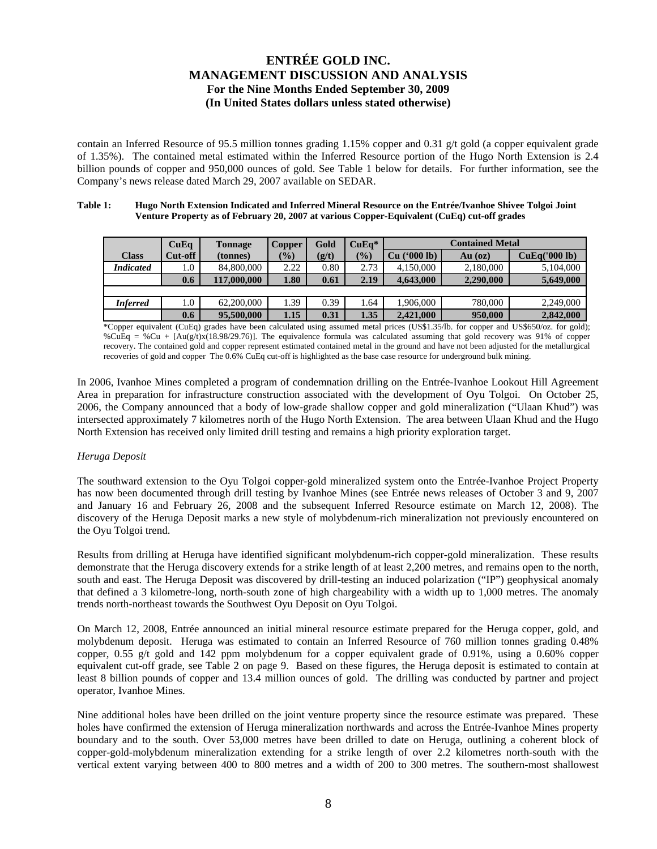contain an Inferred Resource of 95.5 million tonnes grading 1.15% copper and 0.31 g/t gold (a copper equivalent grade of 1.35%). The contained metal estimated within the Inferred Resource portion of the Hugo North Extension is 2.4 billion pounds of copper and 950,000 ounces of gold. See Table 1 below for details. For further information, see the Company's news release dated March 29, 2007 available on SEDAR.

#### **Table 1: Hugo North Extension Indicated and Inferred Mineral Resource on the Entrée/Ivanhoe Shivee Tolgoi Joint Venture Property as of February 20, 2007 at various Copper-Equivalent (CuEq) cut-off grades**

|                  | CuEq    | <b>Tonnage</b> | <b>Copper</b> | Gold  | $CuEq*$                      | <b>Contained Metal</b>   |           |               |  |  |  |
|------------------|---------|----------------|---------------|-------|------------------------------|--------------------------|-----------|---------------|--|--|--|
| <b>Class</b>     | Cut-off | (tonnes)       | $\frac{1}{2}$ | (g/t) | $\left( \frac{0}{0} \right)$ | $(900 \text{ lb})$<br>Cu | $Au$ (oz) | CuEq('000 lb) |  |  |  |
| <b>Indicated</b> | 1.0     | 84,800,000     | 2.22          | 0.80  | 2.73                         | 4,150,000                | 2,180,000 | 5,104,000     |  |  |  |
|                  | 0.6     | 117,000,000    | 1.80          | 0.61  | 2.19                         | 4,643,000                | 5,649,000 |               |  |  |  |
|                  |         |                |               |       |                              |                          |           |               |  |  |  |
| <b>Inferred</b>  | 1.0     | 62,200,000     | .39           | 0.39  | . .64                        | 1.906.000                | 780,000   | 2.249,000     |  |  |  |
|                  | 0.6     | 95,500,000     | 1.15          | 0.31  | 1.35                         | 2.421,000                | 950,000   | 2,842,000     |  |  |  |

\*Copper equivalent (CuEq) grades have been calculated using assumed metal prices (US\$1.35/lb. for copper and US\$650/oz. for gold); %CuEq = %Cu + [Au(g/t)x(18.98/29.76)]. The equivalence formula was calculated assuming that gold recovery was 91% of copper recovery. The contained gold and copper represent estimated contained metal in the ground and have not been adjusted for the metallurgical recoveries of gold and copper The 0.6% CuEq cut-off is highlighted as the base case resource for underground bulk mining.

In 2006, Ivanhoe Mines completed a program of condemnation drilling on the Entrée-Ivanhoe Lookout Hill Agreement Area in preparation for infrastructure construction associated with the development of Oyu Tolgoi. On October 25, 2006, the Company announced that a body of low-grade shallow copper and gold mineralization ("Ulaan Khud") was intersected approximately 7 kilometres north of the Hugo North Extension. The area between Ulaan Khud and the Hugo North Extension has received only limited drill testing and remains a high priority exploration target.

### *Heruga Deposit*

The southward extension to the Oyu Tolgoi copper-gold mineralized system onto the Entrée-Ivanhoe Project Property has now been documented through drill testing by Ivanhoe Mines (see Entrée news releases of October 3 and 9, 2007 and January 16 and February 26, 2008 and the subsequent Inferred Resource estimate on March 12, 2008). The discovery of the Heruga Deposit marks a new style of molybdenum-rich mineralization not previously encountered on the Oyu Tolgoi trend.

Results from drilling at Heruga have identified significant molybdenum-rich copper-gold mineralization. These results demonstrate that the Heruga discovery extends for a strike length of at least 2,200 metres, and remains open to the north, south and east. The Heruga Deposit was discovered by drill-testing an induced polarization ("IP") geophysical anomaly that defined a 3 kilometre-long, north-south zone of high chargeability with a width up to 1,000 metres. The anomaly trends north-northeast towards the Southwest Oyu Deposit on Oyu Tolgoi.

On March 12, 2008, Entrée announced an initial mineral resource estimate prepared for the Heruga copper, gold, and molybdenum deposit. Heruga was estimated to contain an Inferred Resource of 760 million tonnes grading 0.48% copper,  $0.55 \frac{\varphi}{t}$  gold and 142 ppm molybdenum for a copper equivalent grade of  $0.91\%$ , using a 0.60% copper equivalent cut-off grade, see Table 2 on page 9. Based on these figures, the Heruga deposit is estimated to contain at least 8 billion pounds of copper and 13.4 million ounces of gold. The drilling was conducted by partner and project operator, Ivanhoe Mines.

Nine additional holes have been drilled on the joint venture property since the resource estimate was prepared. These holes have confirmed the extension of Heruga mineralization northwards and across the Entrée-Ivanhoe Mines property boundary and to the south. Over 53,000 metres have been drilled to date on Heruga, outlining a coherent block of copper-gold-molybdenum mineralization extending for a strike length of over 2.2 kilometres north-south with the vertical extent varying between 400 to 800 metres and a width of 200 to 300 metres. The southern-most shallowest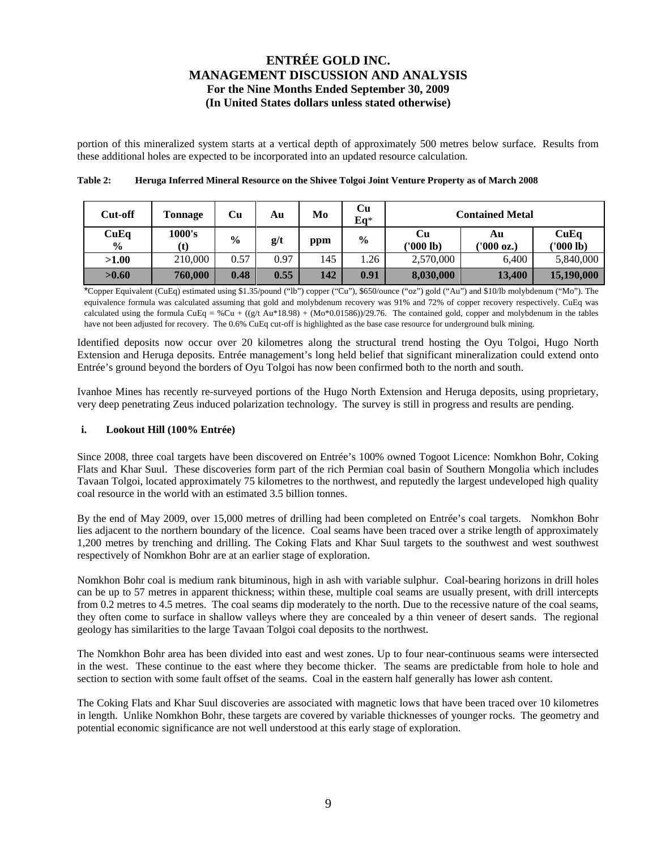portion of this mineralized system starts at a vertical depth of approximately 500 metres below surface. Results from these additional holes are expected to be incorporated into an updated resource calculation.

| Cut-off               | Tonnage       | Cu            | Au   | Mo  | Cu<br>$Eq*$   | <b>Contained Metal</b> |                  |                   |  |
|-----------------------|---------------|---------------|------|-----|---------------|------------------------|------------------|-------------------|--|
| CuEq<br>$\frac{6}{9}$ | 1000's<br>(t) | $\frac{0}{0}$ | g/t  | ppm | $\frac{6}{9}$ | Cu<br>('000 lb)        | Αu<br>('000 oz.) | CuEq<br>('000 lb) |  |
| >1.00                 | 210,000       | 0.57          | 0.97 | 145 | .26           | 2,570,000              | 6.400            | 5,840,000         |  |
| >0.60                 | 760,000       | 0.48          | 0.55 | 142 | 0.91          | 8,030,000              | 13,400           | 15,190,000        |  |

**Table 2: Heruga Inferred Mineral Resource on the Shivee Tolgoi Joint Venture Property as of March 2008** 

\*Copper Equivalent (CuEq) estimated using \$1.35/pound ("lb") copper ("Cu"), \$650/ounce ("oz") gold ("Au") and \$10/lb molybdenum ("Mo"). The equivalence formula was calculated assuming that gold and molybdenum recovery was 91% and 72% of copper recovery respectively. CuEq was calculated using the formula CuEq = %Cu + ((g/t Au\*18.98) + (Mo\*0.01586))/29.76. The contained gold, copper and molybdenum in the tables have not been adjusted for recovery. The 0.6% CuEq cut-off is highlighted as the base case resource for underground bulk mining.

Identified deposits now occur over 20 kilometres along the structural trend hosting the Oyu Tolgoi, Hugo North Extension and Heruga deposits. Entrée management's long held belief that significant mineralization could extend onto Entrée's ground beyond the borders of Oyu Tolgoi has now been confirmed both to the north and south.

Ivanhoe Mines has recently re-surveyed portions of the Hugo North Extension and Heruga deposits, using proprietary, very deep penetrating Zeus induced polarization technology. The survey is still in progress and results are pending.

### **i. Lookout Hill (100% Entrée)**

Since 2008, three coal targets have been discovered on Entrée's 100% owned Togoot Licence: Nomkhon Bohr, Coking Flats and Khar Suul. These discoveries form part of the rich Permian coal basin of Southern Mongolia which includes Tavaan Tolgoi, located approximately 75 kilometres to the northwest, and reputedly the largest undeveloped high quality coal resource in the world with an estimated 3.5 billion tonnes.

By the end of May 2009, over 15,000 metres of drilling had been completed on Entrée's coal targets. Nomkhon Bohr lies adjacent to the northern boundary of the licence. Coal seams have been traced over a strike length of approximately 1,200 metres by trenching and drilling. The Coking Flats and Khar Suul targets to the southwest and west southwest respectively of Nomkhon Bohr are at an earlier stage of exploration.

Nomkhon Bohr coal is medium rank bituminous, high in ash with variable sulphur. Coal-bearing horizons in drill holes can be up to 57 metres in apparent thickness; within these, multiple coal seams are usually present, with drill intercepts from 0.2 metres to 4.5 metres. The coal seams dip moderately to the north. Due to the recessive nature of the coal seams, they often come to surface in shallow valleys where they are concealed by a thin veneer of desert sands. The regional geology has similarities to the large Tavaan Tolgoi coal deposits to the northwest.

The Nomkhon Bohr area has been divided into east and west zones. Up to four near-continuous seams were intersected in the west. These continue to the east where they become thicker. The seams are predictable from hole to hole and section to section with some fault offset of the seams. Coal in the eastern half generally has lower ash content.

The Coking Flats and Khar Suul discoveries are associated with magnetic lows that have been traced over 10 kilometres in length. Unlike Nomkhon Bohr, these targets are covered by variable thicknesses of younger rocks. The geometry and potential economic significance are not well understood at this early stage of exploration.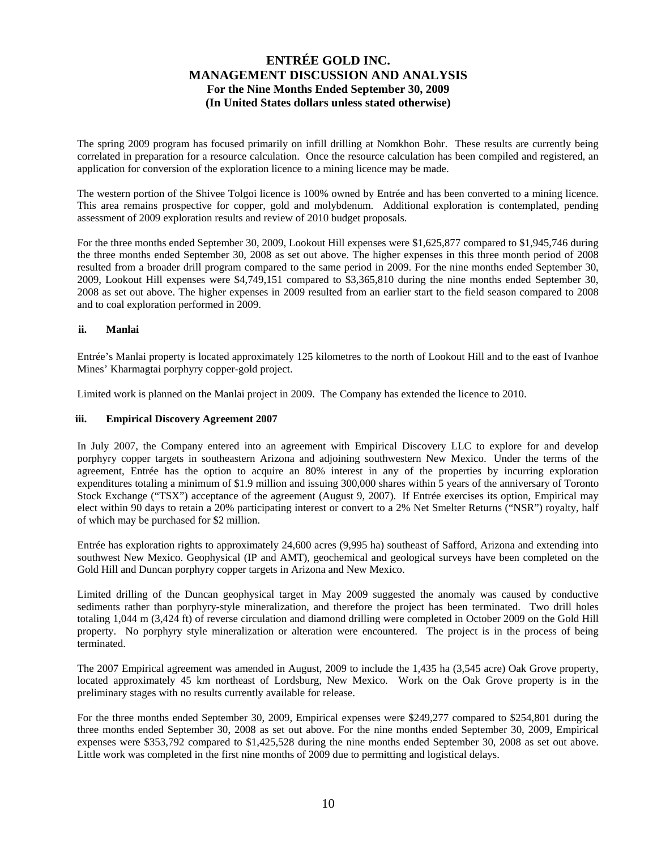The spring 2009 program has focused primarily on infill drilling at Nomkhon Bohr. These results are currently being correlated in preparation for a resource calculation. Once the resource calculation has been compiled and registered, an application for conversion of the exploration licence to a mining licence may be made.

The western portion of the Shivee Tolgoi licence is 100% owned by Entrée and has been converted to a mining licence. This area remains prospective for copper, gold and molybdenum. Additional exploration is contemplated, pending assessment of 2009 exploration results and review of 2010 budget proposals.

For the three months ended September 30, 2009, Lookout Hill expenses were \$1,625,877 compared to \$1,945,746 during the three months ended September 30, 2008 as set out above. The higher expenses in this three month period of 2008 resulted from a broader drill program compared to the same period in 2009. For the nine months ended September 30, 2009, Lookout Hill expenses were \$4,749,151 compared to \$3,365,810 during the nine months ended September 30, 2008 as set out above. The higher expenses in 2009 resulted from an earlier start to the field season compared to 2008 and to coal exploration performed in 2009.

### **ii. Manlai**

Entrée's Manlai property is located approximately 125 kilometres to the north of Lookout Hill and to the east of Ivanhoe Mines' Kharmagtai porphyry copper-gold project.

Limited work is planned on the Manlai project in 2009. The Company has extended the licence to 2010.

#### **iii. Empirical Discovery Agreement 2007**

In July 2007, the Company entered into an agreement with Empirical Discovery LLC to explore for and develop porphyry copper targets in southeastern Arizona and adjoining southwestern New Mexico. Under the terms of the agreement, Entrée has the option to acquire an 80% interest in any of the properties by incurring exploration expenditures totaling a minimum of \$1.9 million and issuing 300,000 shares within 5 years of the anniversary of Toronto Stock Exchange ("TSX") acceptance of the agreement (August 9, 2007). If Entrée exercises its option, Empirical may elect within 90 days to retain a 20% participating interest or convert to a 2% Net Smelter Returns ("NSR") royalty, half of which may be purchased for \$2 million.

Entrée has exploration rights to approximately 24,600 acres (9,995 ha) southeast of Safford, Arizona and extending into southwest New Mexico. Geophysical (IP and AMT), geochemical and geological surveys have been completed on the Gold Hill and Duncan porphyry copper targets in Arizona and New Mexico.

Limited drilling of the Duncan geophysical target in May 2009 suggested the anomaly was caused by conductive sediments rather than porphyry-style mineralization, and therefore the project has been terminated. Two drill holes totaling 1,044 m (3,424 ft) of reverse circulation and diamond drilling were completed in October 2009 on the Gold Hill property. No porphyry style mineralization or alteration were encountered. The project is in the process of being terminated.

The 2007 Empirical agreement was amended in August, 2009 to include the 1,435 ha (3,545 acre) Oak Grove property, located approximately 45 km northeast of Lordsburg, New Mexico. Work on the Oak Grove property is in the preliminary stages with no results currently available for release.

For the three months ended September 30, 2009, Empirical expenses were \$249,277 compared to \$254,801 during the three months ended September 30, 2008 as set out above. For the nine months ended September 30, 2009, Empirical expenses were \$353,792 compared to \$1,425,528 during the nine months ended September 30, 2008 as set out above. Little work was completed in the first nine months of 2009 due to permitting and logistical delays.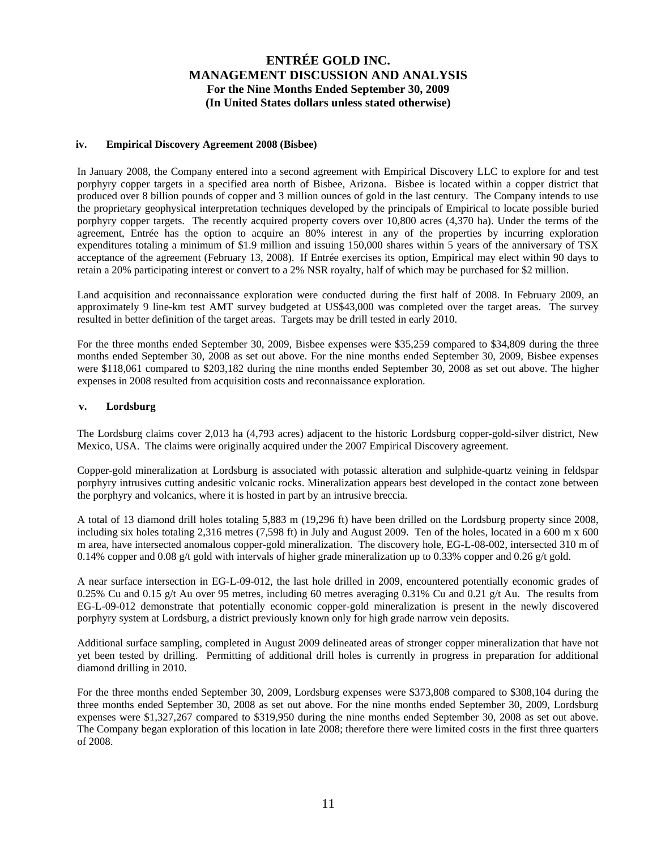### **iv. Empirical Discovery Agreement 2008 (Bisbee)**

In January 2008, the Company entered into a second agreement with Empirical Discovery LLC to explore for and test porphyry copper targets in a specified area north of Bisbee, Arizona. Bisbee is located within a copper district that produced over 8 billion pounds of copper and 3 million ounces of gold in the last century. The Company intends to use the proprietary geophysical interpretation techniques developed by the principals of Empirical to locate possible buried porphyry copper targets. The recently acquired property covers over 10,800 acres (4,370 ha). Under the terms of the agreement, Entrée has the option to acquire an 80% interest in any of the properties by incurring exploration expenditures totaling a minimum of \$1.9 million and issuing 150,000 shares within 5 years of the anniversary of TSX acceptance of the agreement (February 13, 2008). If Entrée exercises its option, Empirical may elect within 90 days to retain a 20% participating interest or convert to a 2% NSR royalty, half of which may be purchased for \$2 million.

Land acquisition and reconnaissance exploration were conducted during the first half of 2008. In February 2009, an approximately 9 line-km test AMT survey budgeted at US\$43,000 was completed over the target areas. The survey resulted in better definition of the target areas. Targets may be drill tested in early 2010.

For the three months ended September 30, 2009, Bisbee expenses were \$35,259 compared to \$34,809 during the three months ended September 30, 2008 as set out above. For the nine months ended September 30, 2009, Bisbee expenses were \$118,061 compared to \$203,182 during the nine months ended September 30, 2008 as set out above. The higher expenses in 2008 resulted from acquisition costs and reconnaissance exploration.

### **v. Lordsburg**

The Lordsburg claims cover 2,013 ha (4,793 acres) adjacent to the historic Lordsburg copper-gold-silver district, New Mexico, USA. The claims were originally acquired under the 2007 Empirical Discovery agreement.

Copper-gold mineralization at Lordsburg is associated with potassic alteration and sulphide-quartz veining in feldspar porphyry intrusives cutting andesitic volcanic rocks. Mineralization appears best developed in the contact zone between the porphyry and volcanics, where it is hosted in part by an intrusive breccia.

A total of 13 diamond drill holes totaling 5,883 m (19,296 ft) have been drilled on the Lordsburg property since 2008, including six holes totaling 2,316 metres (7,598 ft) in July and August 2009. Ten of the holes, located in a 600 m x 600 m area, have intersected anomalous copper-gold mineralization. The discovery hole, EG-L-08-002, intersected 310 m of 0.14% copper and 0.08 g/t gold with intervals of higher grade mineralization up to 0.33% copper and 0.26 g/t gold.

A near surface intersection in EG-L-09-012, the last hole drilled in 2009, encountered potentially economic grades of 0.25% Cu and 0.15 g/t Au over 95 metres, including 60 metres averaging 0.31% Cu and 0.21 g/t Au. The results from EG-L-09-012 demonstrate that potentially economic copper-gold mineralization is present in the newly discovered porphyry system at Lordsburg, a district previously known only for high grade narrow vein deposits.

Additional surface sampling, completed in August 2009 delineated areas of stronger copper mineralization that have not yet been tested by drilling. Permitting of additional drill holes is currently in progress in preparation for additional diamond drilling in 2010.

For the three months ended September 30, 2009, Lordsburg expenses were \$373,808 compared to \$308,104 during the three months ended September 30, 2008 as set out above. For the nine months ended September 30, 2009, Lordsburg expenses were \$1,327,267 compared to \$319,950 during the nine months ended September 30, 2008 as set out above. The Company began exploration of this location in late 2008; therefore there were limited costs in the first three quarters of 2008.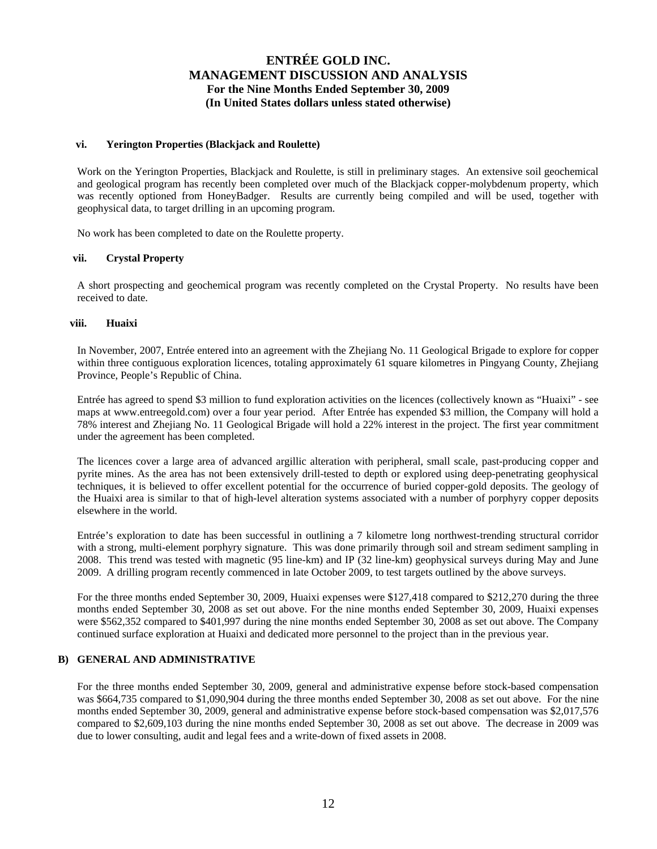#### **vi. Yerington Properties (Blackjack and Roulette)**

Work on the Yerington Properties, Blackjack and Roulette, is still in preliminary stages. An extensive soil geochemical and geological program has recently been completed over much of the Blackjack copper-molybdenum property, which was recently optioned from HoneyBadger. Results are currently being compiled and will be used, together with geophysical data, to target drilling in an upcoming program.

No work has been completed to date on the Roulette property.

### **vii. Crystal Property**

A short prospecting and geochemical program was recently completed on the Crystal Property. No results have been received to date.

### **viii. Huaixi**

In November, 2007, Entrée entered into an agreement with the Zhejiang No. 11 Geological Brigade to explore for copper within three contiguous exploration licences, totaling approximately 61 square kilometres in Pingyang County, Zhejiang Province, People's Republic of China.

Entrée has agreed to spend \$3 million to fund exploration activities on the licences (collectively known as "Huaixi" - see maps at www.entreegold.com) over a four year period. After Entrée has expended \$3 million, the Company will hold a 78% interest and Zhejiang No. 11 Geological Brigade will hold a 22% interest in the project. The first year commitment under the agreement has been completed.

The licences cover a large area of advanced argillic alteration with peripheral, small scale, past-producing copper and pyrite mines. As the area has not been extensively drill-tested to depth or explored using deep-penetrating geophysical techniques, it is believed to offer excellent potential for the occurrence of buried copper-gold deposits. The geology of the Huaixi area is similar to that of high-level alteration systems associated with a number of porphyry copper deposits elsewhere in the world.

Entrée's exploration to date has been successful in outlining a 7 kilometre long northwest-trending structural corridor with a strong, multi-element porphyry signature. This was done primarily through soil and stream sediment sampling in 2008. This trend was tested with magnetic (95 line-km) and IP (32 line-km) geophysical surveys during May and June 2009. A drilling program recently commenced in late October 2009, to test targets outlined by the above surveys.

For the three months ended September 30, 2009, Huaixi expenses were \$127,418 compared to \$212,270 during the three months ended September 30, 2008 as set out above. For the nine months ended September 30, 2009, Huaixi expenses were \$562,352 compared to \$401,997 during the nine months ended September 30, 2008 as set out above. The Company continued surface exploration at Huaixi and dedicated more personnel to the project than in the previous year.

#### **B) GENERAL AND ADMINISTRATIVE**

For the three months ended September 30, 2009, general and administrative expense before stock-based compensation was \$664,735 compared to \$1,090,904 during the three months ended September 30, 2008 as set out above. For the nine months ended September 30, 2009, general and administrative expense before stock-based compensation was \$2,017,576 compared to \$2,609,103 during the nine months ended September 30, 2008 as set out above. The decrease in 2009 was due to lower consulting, audit and legal fees and a write-down of fixed assets in 2008.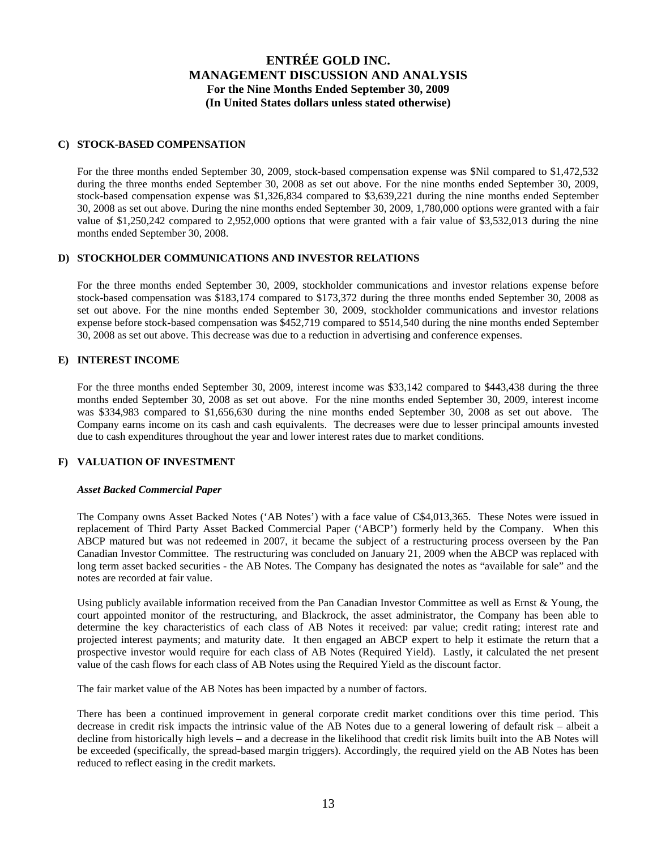### **C) STOCK-BASED COMPENSATION**

For the three months ended September 30, 2009, stock-based compensation expense was \$Nil compared to \$1,472,532 during the three months ended September 30, 2008 as set out above. For the nine months ended September 30, 2009, stock-based compensation expense was \$1,326,834 compared to \$3,639,221 during the nine months ended September 30, 2008 as set out above. During the nine months ended September 30, 2009, 1,780,000 options were granted with a fair value of \$1,250,242 compared to 2,952,000 options that were granted with a fair value of \$3,532,013 during the nine months ended September 30, 2008.

### **D) STOCKHOLDER COMMUNICATIONS AND INVESTOR RELATIONS**

For the three months ended September 30, 2009, stockholder communications and investor relations expense before stock-based compensation was \$183,174 compared to \$173,372 during the three months ended September 30, 2008 as set out above. For the nine months ended September 30, 2009, stockholder communications and investor relations expense before stock-based compensation was \$452,719 compared to \$514,540 during the nine months ended September 30, 2008 as set out above. This decrease was due to a reduction in advertising and conference expenses.

### **E) INTEREST INCOME**

For the three months ended September 30, 2009, interest income was \$33,142 compared to \$443,438 during the three months ended September 30, 2008 as set out above. For the nine months ended September 30, 2009, interest income was \$334,983 compared to \$1,656,630 during the nine months ended September 30, 2008 as set out above. The Company earns income on its cash and cash equivalents. The decreases were due to lesser principal amounts invested due to cash expenditures throughout the year and lower interest rates due to market conditions.

#### **F) VALUATION OF INVESTMENT**

#### *Asset Backed Commercial Paper*

The Company owns Asset Backed Notes ('AB Notes') with a face value of C\$4,013,365. These Notes were issued in replacement of Third Party Asset Backed Commercial Paper ('ABCP') formerly held by the Company. When this ABCP matured but was not redeemed in 2007, it became the subject of a restructuring process overseen by the Pan Canadian Investor Committee. The restructuring was concluded on January 21, 2009 when the ABCP was replaced with long term asset backed securities - the AB Notes. The Company has designated the notes as "available for sale" and the notes are recorded at fair value.

Using publicly available information received from the Pan Canadian Investor Committee as well as Ernst & Young, the court appointed monitor of the restructuring, and Blackrock, the asset administrator, the Company has been able to determine the key characteristics of each class of AB Notes it received: par value; credit rating; interest rate and projected interest payments; and maturity date. It then engaged an ABCP expert to help it estimate the return that a prospective investor would require for each class of AB Notes (Required Yield). Lastly, it calculated the net present value of the cash flows for each class of AB Notes using the Required Yield as the discount factor.

The fair market value of the AB Notes has been impacted by a number of factors.

There has been a continued improvement in general corporate credit market conditions over this time period. This decrease in credit risk impacts the intrinsic value of the AB Notes due to a general lowering of default risk – albeit a decline from historically high levels – and a decrease in the likelihood that credit risk limits built into the AB Notes will be exceeded (specifically, the spread-based margin triggers). Accordingly, the required yield on the AB Notes has been reduced to reflect easing in the credit markets.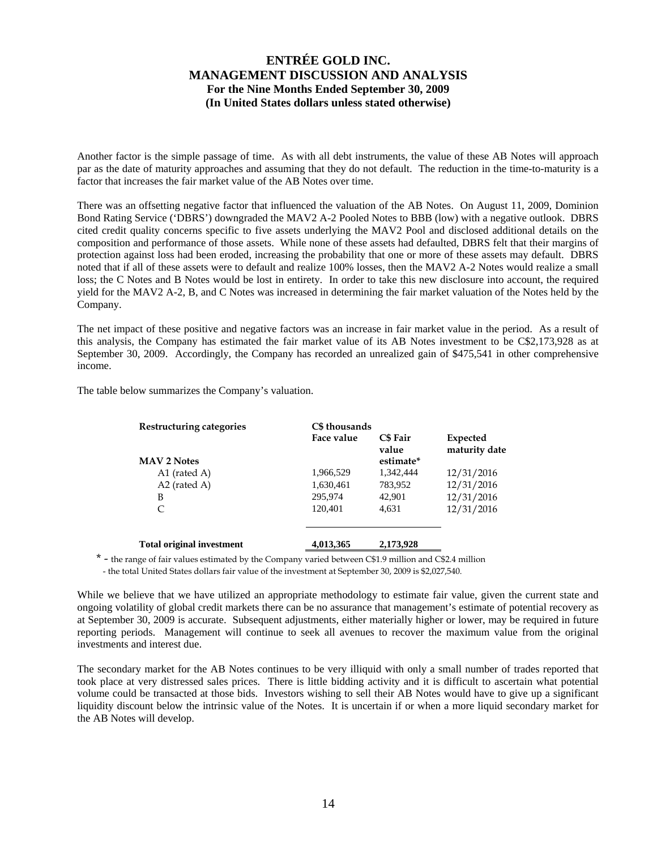Another factor is the simple passage of time. As with all debt instruments, the value of these AB Notes will approach par as the date of maturity approaches and assuming that they do not default. The reduction in the time-to-maturity is a factor that increases the fair market value of the AB Notes over time.

There was an offsetting negative factor that influenced the valuation of the AB Notes. On August 11, 2009, Dominion Bond Rating Service ('DBRS') downgraded the MAV2 A-2 Pooled Notes to BBB (low) with a negative outlook. DBRS cited credit quality concerns specific to five assets underlying the MAV2 Pool and disclosed additional details on the composition and performance of those assets. While none of these assets had defaulted, DBRS felt that their margins of protection against loss had been eroded, increasing the probability that one or more of these assets may default. DBRS noted that if all of these assets were to default and realize 100% losses, then the MAV2 A-2 Notes would realize a small loss; the C Notes and B Notes would be lost in entirety. In order to take this new disclosure into account, the required yield for the MAV2 A-2, B, and C Notes was increased in determining the fair market valuation of the Notes held by the Company.

The net impact of these positive and negative factors was an increase in fair market value in the period. As a result of this analysis, the Company has estimated the fair market value of its AB Notes investment to be C\$2,173,928 as at September 30, 2009. Accordingly, the Company has recorded an unrealized gain of \$475,541 in other comprehensive income.

The table below summarizes the Company's valuation.

| Restructuring categories | C\$ thousands<br>Face value | <b>C\$</b> Fair<br>value | Expected<br>maturity date |
|--------------------------|-----------------------------|--------------------------|---------------------------|
| <b>MAV 2 Notes</b>       |                             | estimate*                |                           |
| A1 (rated A)             | 1,966,529                   | 1.342.444                | 12/31/2016                |
| $A2$ (rated A)           | 1,630,461                   | 783,952                  | 12/31/2016                |
| В                        | 295,974                     | 42,901                   | 12/31/2016                |
| C                        | 120,401                     | 4,631                    | 12/31/2016                |
|                          |                             |                          |                           |
|                          |                             |                          |                           |

\* - the range of fair values estimated by the Company varied between C\$1.9 million and C\$2.4 million

- the total United States dollars fair value of the investment at September 30, 2009 is \$2,027,540.

**Total original investment 4,013,365 2,173,928** 

While we believe that we have utilized an appropriate methodology to estimate fair value, given the current state and ongoing volatility of global credit markets there can be no assurance that management's estimate of potential recovery as at September 30, 2009 is accurate. Subsequent adjustments, either materially higher or lower, may be required in future reporting periods. Management will continue to seek all avenues to recover the maximum value from the original investments and interest due.

The secondary market for the AB Notes continues to be very illiquid with only a small number of trades reported that took place at very distressed sales prices. There is little bidding activity and it is difficult to ascertain what potential volume could be transacted at those bids. Investors wishing to sell their AB Notes would have to give up a significant liquidity discount below the intrinsic value of the Notes. It is uncertain if or when a more liquid secondary market for the AB Notes will develop.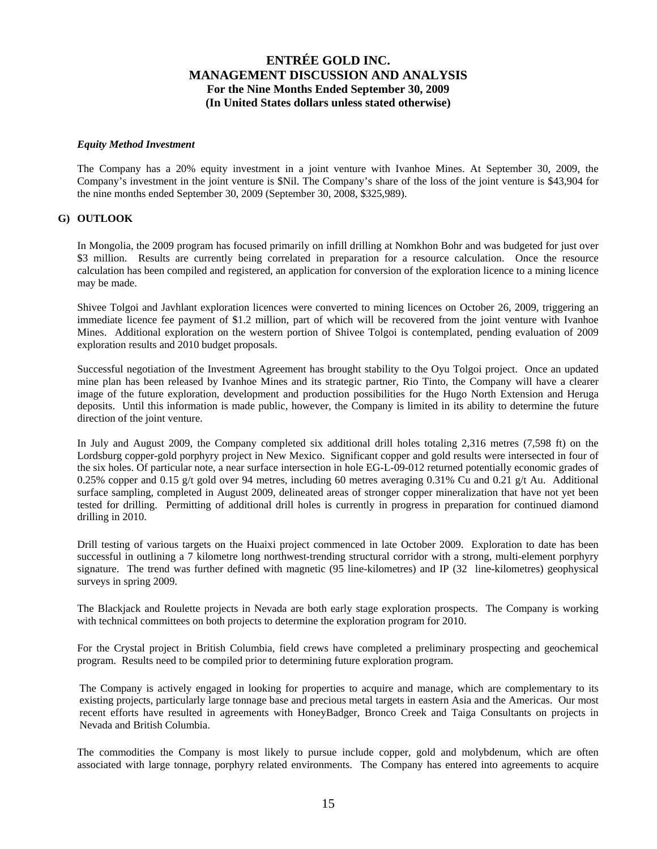#### *Equity Method Investment*

The Company has a 20% equity investment in a joint venture with Ivanhoe Mines. At September 30, 2009, the Company's investment in the joint venture is \$Nil. The Company's share of the loss of the joint venture is \$43,904 for the nine months ended September 30, 2009 (September 30, 2008, \$325,989).

### **G) OUTLOOK**

In Mongolia, the 2009 program has focused primarily on infill drilling at Nomkhon Bohr and was budgeted for just over \$3 million. Results are currently being correlated in preparation for a resource calculation. Once the resource calculation has been compiled and registered, an application for conversion of the exploration licence to a mining licence may be made.

Shivee Tolgoi and Javhlant exploration licences were converted to mining licences on October 26, 2009, triggering an immediate licence fee payment of \$1.2 million, part of which will be recovered from the joint venture with Ivanhoe Mines. Additional exploration on the western portion of Shivee Tolgoi is contemplated, pending evaluation of 2009 exploration results and 2010 budget proposals.

Successful negotiation of the Investment Agreement has brought stability to the Oyu Tolgoi project. Once an updated mine plan has been released by Ivanhoe Mines and its strategic partner, Rio Tinto, the Company will have a clearer image of the future exploration, development and production possibilities for the Hugo North Extension and Heruga deposits. Until this information is made public, however, the Company is limited in its ability to determine the future direction of the joint venture.

In July and August 2009, the Company completed six additional drill holes totaling 2,316 metres (7,598 ft) on the Lordsburg copper-gold porphyry project in New Mexico. Significant copper and gold results were intersected in four of the six holes. Of particular note, a near surface intersection in hole EG-L-09-012 returned potentially economic grades of 0.25% copper and 0.15 g/t gold over 94 metres, including 60 metres averaging 0.31% Cu and 0.21 g/t Au. Additional surface sampling, completed in August 2009, delineated areas of stronger copper mineralization that have not yet been tested for drilling. Permitting of additional drill holes is currently in progress in preparation for continued diamond drilling in 2010.

Drill testing of various targets on the Huaixi project commenced in late October 2009. Exploration to date has been successful in outlining a 7 kilometre long northwest-trending structural corridor with a strong, multi-element porphyry signature. The trend was further defined with magnetic (95 line-kilometres) and IP (32 line-kilometres) geophysical surveys in spring 2009.

The Blackjack and Roulette projects in Nevada are both early stage exploration prospects. The Company is working with technical committees on both projects to determine the exploration program for 2010.

For the Crystal project in British Columbia, field crews have completed a preliminary prospecting and geochemical program. Results need to be compiled prior to determining future exploration program.

The Company is actively engaged in looking for properties to acquire and manage, which are complementary to its existing projects, particularly large tonnage base and precious metal targets in eastern Asia and the Americas. Our most recent efforts have resulted in agreements with HoneyBadger, Bronco Creek and Taiga Consultants on projects in Nevada and British Columbia.

The commodities the Company is most likely to pursue include copper, gold and molybdenum, which are often associated with large tonnage, porphyry related environments. The Company has entered into agreements to acquire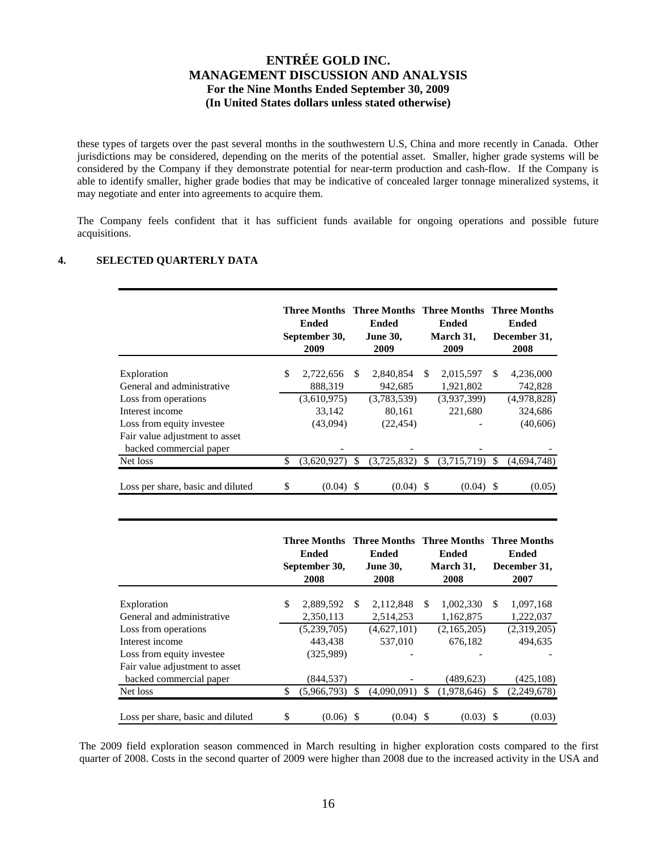these types of targets over the past several months in the southwestern U.S, China and more recently in Canada. Other jurisdictions may be considered, depending on the merits of the potential asset. Smaller, higher grade systems will be considered by the Company if they demonstrate potential for near-term production and cash-flow. If the Company is able to identify smaller, higher grade bodies that may be indicative of concealed larger tonnage mineralized systems, it may negotiate and enter into agreements to acquire them.

The Company feels confident that it has sufficient funds available for ongoing operations and possible future acquisitions.

## **4. SELECTED QUARTERLY DATA**

|                                                           |     | <b>Three Months</b><br>Ended<br>September 30,<br>2009 |               | Three Months Three Months<br>Ended<br><b>June 30,</b><br>2009 |               | Ended<br>March 31,<br>2009 |     | Three Months<br>Ended<br>December 31,<br>2008 |
|-----------------------------------------------------------|-----|-------------------------------------------------------|---------------|---------------------------------------------------------------|---------------|----------------------------|-----|-----------------------------------------------|
| Exploration                                               | \$. | 2,722,656                                             | <b>S</b>      | 2,840,854                                                     | \$.           | 2,015,597                  | \$. | 4,236,000                                     |
| General and administrative                                |     | 888,319                                               |               | 942,685                                                       |               | 1,921,802                  |     | 742,828                                       |
| Loss from operations                                      |     | (3,610,975)                                           |               | (3,783,539)                                                   |               | (3,937,399)                |     | (4,978,828)                                   |
| Interest income                                           |     | 33,142                                                |               | 80,161                                                        |               | 221,680                    |     | 324,686                                       |
| Loss from equity investee                                 |     | (43,094)                                              |               | (22, 454)                                                     |               |                            |     | (40,606)                                      |
| Fair value adjustment to asset<br>backed commercial paper |     |                                                       |               |                                                               |               |                            |     |                                               |
| Net loss                                                  | \$  | (3,620,927)                                           | <sup>\$</sup> | (3,725,832)                                                   | <sup>\$</sup> | (3,715,719)                | \$. | (4,694,748)                                   |
| Loss per share, basic and diluted                         | \$  | $(0.04)$ \$                                           |               | (0.04)                                                        |               | $(0.04)$ \$                |     | (0.05)                                        |

|                                           | Three Months<br>Ended<br>September 30,<br>2008 |     | <b>Three Months Three Months Three Months</b><br>Ended<br><b>June 30,</b><br>2008 |     | <b>Ended</b><br>March 31,<br>2008 |     | Ended<br>December 31,<br>2007 |
|-------------------------------------------|------------------------------------------------|-----|-----------------------------------------------------------------------------------|-----|-----------------------------------|-----|-------------------------------|
|                                           |                                                | \$. |                                                                                   | \$. |                                   | \$. |                               |
| Exploration<br>General and administrative | \$<br>2,889,592<br>2,350,113                   |     | 2,112,848<br>2,514,253                                                            |     | 1,002,330<br>1,162,875            |     | 1,097,168<br>1,222,037        |
| Loss from operations                      | (5,239,705)                                    |     | (4,627,101)                                                                       |     | (2,165,205)                       |     | (2,319,205)                   |
| Interest income                           | 443.438                                        |     | 537,010                                                                           |     | 676.182                           |     | 494.635                       |
| Loss from equity investee                 | (325,989)                                      |     |                                                                                   |     |                                   |     |                               |
| Fair value adjustment to asset            |                                                |     |                                                                                   |     |                                   |     |                               |
| backed commercial paper                   | (844, 537)                                     |     |                                                                                   |     | (489, 623)                        |     | (425, 108)                    |
| Net loss                                  | \$<br>(5,966,793)                              | -S  | (4,090,091)                                                                       | S   | (1,978,646)                       | \$. | (2,249,678)                   |
| Loss per share, basic and diluted         | \$<br>(0.06)                                   | -S  | (0.04)                                                                            | -S  | $(0.03)$ \$                       |     | (0.03)                        |

The 2009 field exploration season commenced in March resulting in higher exploration costs compared to the first quarter of 2008. Costs in the second quarter of 2009 were higher than 2008 due to the increased activity in the USA and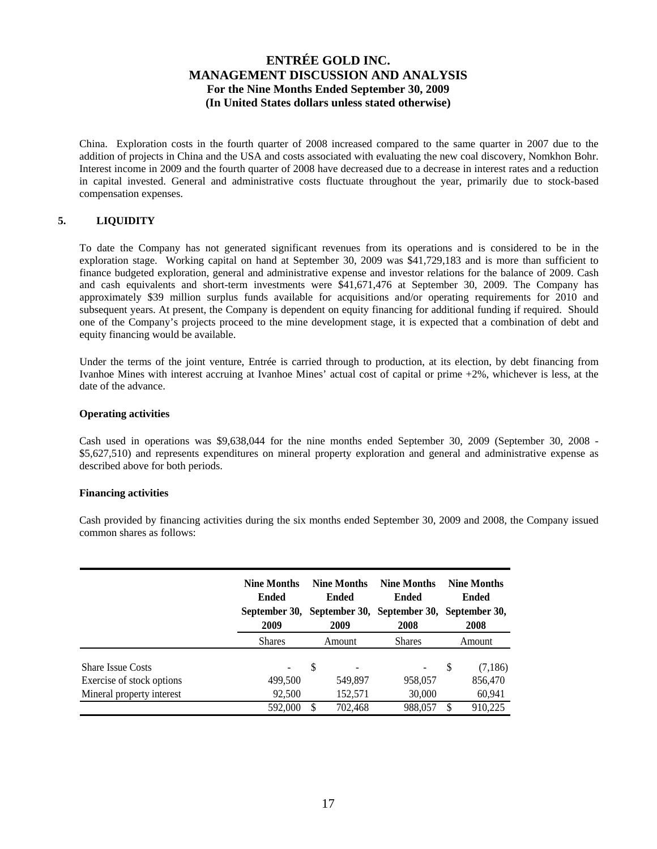China. Exploration costs in the fourth quarter of 2008 increased compared to the same quarter in 2007 due to the addition of projects in China and the USA and costs associated with evaluating the new coal discovery, Nomkhon Bohr. Interest income in 2009 and the fourth quarter of 2008 have decreased due to a decrease in interest rates and a reduction in capital invested. General and administrative costs fluctuate throughout the year, primarily due to stock-based compensation expenses.

## **5. LIQUIDITY**

To date the Company has not generated significant revenues from its operations and is considered to be in the exploration stage. Working capital on hand at September 30, 2009 was \$41,729,183 and is more than sufficient to finance budgeted exploration, general and administrative expense and investor relations for the balance of 2009. Cash and cash equivalents and short-term investments were \$41,671,476 at September 30, 2009. The Company has approximately \$39 million surplus funds available for acquisitions and/or operating requirements for 2010 and subsequent years. At present, the Company is dependent on equity financing for additional funding if required. Should one of the Company's projects proceed to the mine development stage, it is expected that a combination of debt and equity financing would be available.

Under the terms of the joint venture, Entrée is carried through to production, at its election, by debt financing from Ivanhoe Mines with interest accruing at Ivanhoe Mines' actual cost of capital or prime +2%, whichever is less, at the date of the advance.

## **Operating activities**

Cash used in operations was \$9,638,044 for the nine months ended September 30, 2009 (September 30, 2008 - \$5,627,510) and represents expenditures on mineral property exploration and general and administrative expense as described above for both periods.

### **Financing activities**

Cash provided by financing activities during the six months ended September 30, 2009 and 2008, the Company issued common shares as follows:

|                           | <b>Nine Months</b><br>Ended<br>2009 | <b>Nine Months</b><br>Ended<br>2009 | <b>Nine Months</b><br>Ended<br>September 30, September 30, September 30, September 30,<br>2008 | <b>Nine Months</b><br>Ended<br>2008 |
|---------------------------|-------------------------------------|-------------------------------------|------------------------------------------------------------------------------------------------|-------------------------------------|
|                           | <b>Shares</b>                       | Amount                              | <b>Shares</b>                                                                                  | Amount                              |
| <b>Share Issue Costs</b>  | $\overline{\phantom{a}}$            | <sup>\$</sup>                       | ۰                                                                                              | S<br>(7,186)                        |
| Exercise of stock options | 499,500                             | 549,897                             | 958,057                                                                                        | 856,470                             |
| Mineral property interest | 92,500                              | 152,571                             | 30,000                                                                                         | 60,941                              |
|                           | 592,000                             | 702.468<br>S                        | 988,057                                                                                        | 910.225<br>S                        |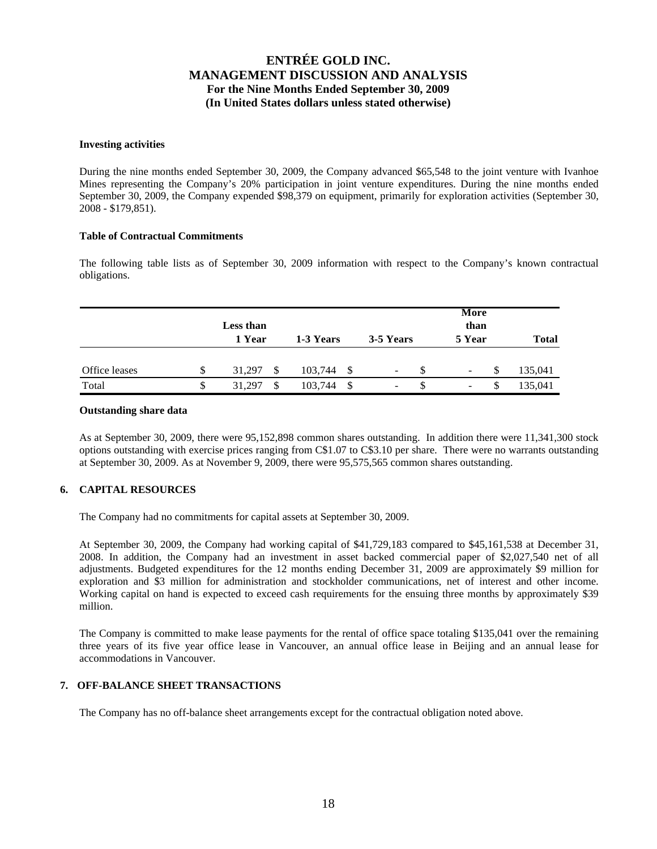#### **Investing activities**

During the nine months ended September 30, 2009, the Company advanced \$65,548 to the joint venture with Ivanhoe Mines representing the Company's 20% participation in joint venture expenditures. During the nine months ended September 30, 2009, the Company expended \$98,379 on equipment, primarily for exploration activities (September 30, 2008 - \$179,851).

### **Table of Contractual Commitments**

The following table lists as of September 30, 2009 information with respect to the Company's known contractual obligations.

|               |   | <b>Less than</b><br>1 Year | 1-3 Years |      | 3-5 Years | More<br>than<br>5 Year   | <b>Total</b> |
|---------------|---|----------------------------|-----------|------|-----------|--------------------------|--------------|
| Office leases | S | 31,297<br>- \$             | 103,744   | - S  | Ξ.        | ۰.                       | 135,041      |
| Total         |   | 31,297<br>\$               | 103,744   | - \$ | -         | $\overline{\phantom{a}}$ | 135,041      |

### **Outstanding share data**

As at September 30, 2009, there were 95,152,898 common shares outstanding. In addition there were 11,341,300 stock options outstanding with exercise prices ranging from C\$1.07 to C\$3.10 per share. There were no warrants outstanding at September 30, 2009. As at November 9, 2009, there were 95,575,565 common shares outstanding.

### **6. CAPITAL RESOURCES**

The Company had no commitments for capital assets at September 30, 2009.

At September 30, 2009, the Company had working capital of \$41,729,183 compared to \$45,161,538 at December 31, 2008. In addition, the Company had an investment in asset backed commercial paper of \$2,027,540 net of all adjustments. Budgeted expenditures for the 12 months ending December 31, 2009 are approximately \$9 million for exploration and \$3 million for administration and stockholder communications, net of interest and other income. Working capital on hand is expected to exceed cash requirements for the ensuing three months by approximately \$39 million.

The Company is committed to make lease payments for the rental of office space totaling \$135,041 over the remaining three years of its five year office lease in Vancouver, an annual office lease in Beijing and an annual lease for accommodations in Vancouver.

## **7. OFF-BALANCE SHEET TRANSACTIONS**

The Company has no off-balance sheet arrangements except for the contractual obligation noted above.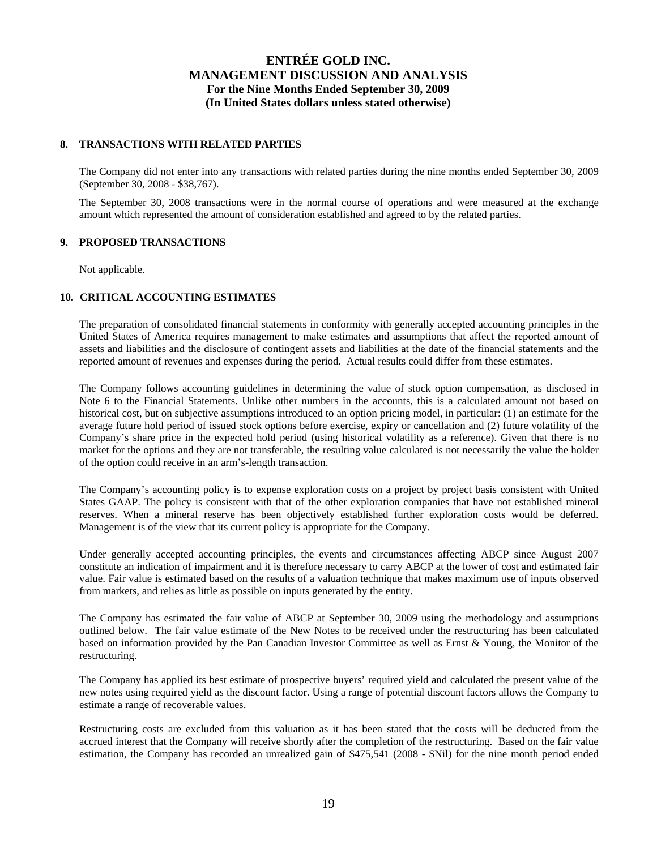### **8. TRANSACTIONS WITH RELATED PARTIES**

The Company did not enter into any transactions with related parties during the nine months ended September 30, 2009 (September 30, 2008 - \$38,767).

The September 30, 2008 transactions were in the normal course of operations and were measured at the exchange amount which represented the amount of consideration established and agreed to by the related parties.

## **9. PROPOSED TRANSACTIONS**

Not applicable.

## **10. CRITICAL ACCOUNTING ESTIMATES**

The preparation of consolidated financial statements in conformity with generally accepted accounting principles in the United States of America requires management to make estimates and assumptions that affect the reported amount of assets and liabilities and the disclosure of contingent assets and liabilities at the date of the financial statements and the reported amount of revenues and expenses during the period. Actual results could differ from these estimates.

The Company follows accounting guidelines in determining the value of stock option compensation, as disclosed in Note 6 to the Financial Statements. Unlike other numbers in the accounts, this is a calculated amount not based on historical cost, but on subjective assumptions introduced to an option pricing model, in particular: (1) an estimate for the average future hold period of issued stock options before exercise, expiry or cancellation and (2) future volatility of the Company's share price in the expected hold period (using historical volatility as a reference). Given that there is no market for the options and they are not transferable, the resulting value calculated is not necessarily the value the holder of the option could receive in an arm's-length transaction.

The Company's accounting policy is to expense exploration costs on a project by project basis consistent with United States GAAP. The policy is consistent with that of the other exploration companies that have not established mineral reserves. When a mineral reserve has been objectively established further exploration costs would be deferred. Management is of the view that its current policy is appropriate for the Company.

Under generally accepted accounting principles, the events and circumstances affecting ABCP since August 2007 constitute an indication of impairment and it is therefore necessary to carry ABCP at the lower of cost and estimated fair value. Fair value is estimated based on the results of a valuation technique that makes maximum use of inputs observed from markets, and relies as little as possible on inputs generated by the entity.

The Company has estimated the fair value of ABCP at September 30, 2009 using the methodology and assumptions outlined below. The fair value estimate of the New Notes to be received under the restructuring has been calculated based on information provided by the Pan Canadian Investor Committee as well as Ernst & Young, the Monitor of the restructuring.

The Company has applied its best estimate of prospective buyers' required yield and calculated the present value of the new notes using required yield as the discount factor. Using a range of potential discount factors allows the Company to estimate a range of recoverable values.

Restructuring costs are excluded from this valuation as it has been stated that the costs will be deducted from the accrued interest that the Company will receive shortly after the completion of the restructuring. Based on the fair value estimation, the Company has recorded an unrealized gain of \$475,541 (2008 - \$Nil) for the nine month period ended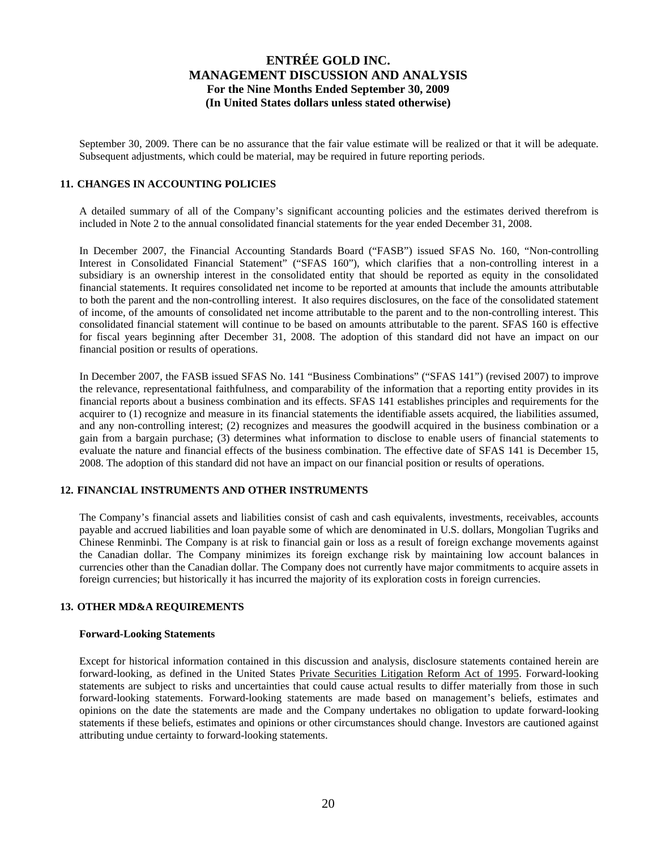September 30, 2009. There can be no assurance that the fair value estimate will be realized or that it will be adequate. Subsequent adjustments, which could be material, may be required in future reporting periods.

#### **11. CHANGES IN ACCOUNTING POLICIES**

A detailed summary of all of the Company's significant accounting policies and the estimates derived therefrom is included in Note 2 to the annual consolidated financial statements for the year ended December 31, 2008.

In December 2007, the Financial Accounting Standards Board ("FASB") issued SFAS No. 160, "Non-controlling Interest in Consolidated Financial Statement" ("SFAS 160"), which clarifies that a non-controlling interest in a subsidiary is an ownership interest in the consolidated entity that should be reported as equity in the consolidated financial statements. It requires consolidated net income to be reported at amounts that include the amounts attributable to both the parent and the non-controlling interest. It also requires disclosures, on the face of the consolidated statement of income, of the amounts of consolidated net income attributable to the parent and to the non-controlling interest. This consolidated financial statement will continue to be based on amounts attributable to the parent. SFAS 160 is effective for fiscal years beginning after December 31, 2008. The adoption of this standard did not have an impact on our financial position or results of operations.

In December 2007, the FASB issued SFAS No. 141 "Business Combinations" ("SFAS 141") (revised 2007) to improve the relevance, representational faithfulness, and comparability of the information that a reporting entity provides in its financial reports about a business combination and its effects. SFAS 141 establishes principles and requirements for the acquirer to (1) recognize and measure in its financial statements the identifiable assets acquired, the liabilities assumed, and any non-controlling interest; (2) recognizes and measures the goodwill acquired in the business combination or a gain from a bargain purchase; (3) determines what information to disclose to enable users of financial statements to evaluate the nature and financial effects of the business combination. The effective date of SFAS 141 is December 15, 2008. The adoption of this standard did not have an impact on our financial position or results of operations.

### **12. FINANCIAL INSTRUMENTS AND OTHER INSTRUMENTS**

The Company's financial assets and liabilities consist of cash and cash equivalents, investments, receivables, accounts payable and accrued liabilities and loan payable some of which are denominated in U.S. dollars, Mongolian Tugriks and Chinese Renminbi. The Company is at risk to financial gain or loss as a result of foreign exchange movements against the Canadian dollar. The Company minimizes its foreign exchange risk by maintaining low account balances in currencies other than the Canadian dollar. The Company does not currently have major commitments to acquire assets in foreign currencies; but historically it has incurred the majority of its exploration costs in foreign currencies.

### **13. OTHER MD&A REQUIREMENTS**

#### **Forward-Looking Statements**

Except for historical information contained in this discussion and analysis, disclosure statements contained herein are forward-looking, as defined in the United States Private Securities Litigation Reform Act of 1995. Forward-looking statements are subject to risks and uncertainties that could cause actual results to differ materially from those in such forward-looking statements. Forward-looking statements are made based on management's beliefs, estimates and opinions on the date the statements are made and the Company undertakes no obligation to update forward-looking statements if these beliefs, estimates and opinions or other circumstances should change. Investors are cautioned against attributing undue certainty to forward-looking statements.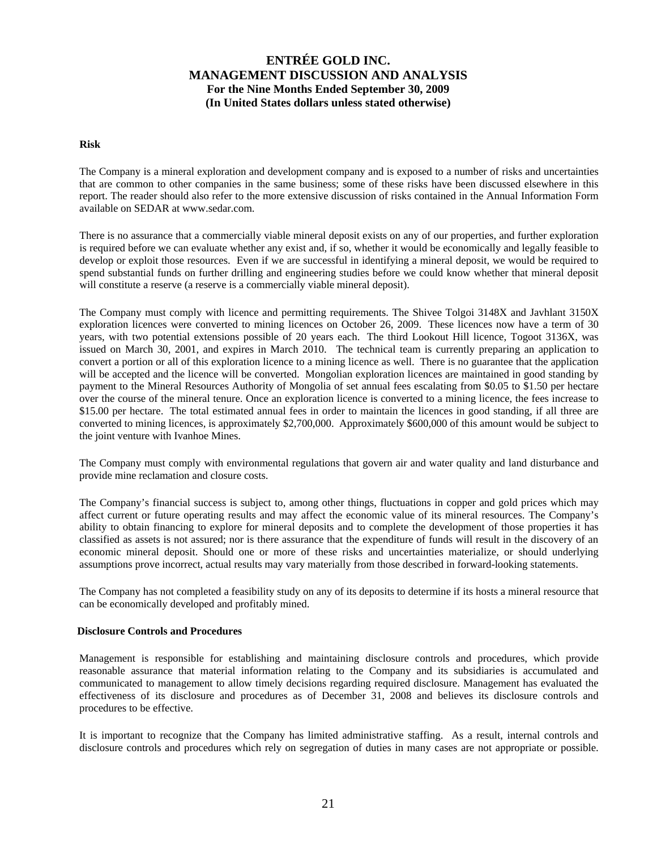### **Risk**

The Company is a mineral exploration and development company and is exposed to a number of risks and uncertainties that are common to other companies in the same business; some of these risks have been discussed elsewhere in this report. The reader should also refer to the more extensive discussion of risks contained in the Annual Information Form available on SEDAR at www.sedar.com.

There is no assurance that a commercially viable mineral deposit exists on any of our properties, and further exploration is required before we can evaluate whether any exist and, if so, whether it would be economically and legally feasible to develop or exploit those resources. Even if we are successful in identifying a mineral deposit, we would be required to spend substantial funds on further drilling and engineering studies before we could know whether that mineral deposit will constitute a reserve (a reserve is a commercially viable mineral deposit).

The Company must comply with licence and permitting requirements. The Shivee Tolgoi 3148X and Javhlant 3150X exploration licences were converted to mining licences on October 26, 2009. These licences now have a term of 30 years, with two potential extensions possible of 20 years each. The third Lookout Hill licence, Togoot 3136X, was issued on March 30, 2001, and expires in March 2010. The technical team is currently preparing an application to convert a portion or all of this exploration licence to a mining licence as well. There is no guarantee that the application will be accepted and the licence will be converted. Mongolian exploration licences are maintained in good standing by payment to the Mineral Resources Authority of Mongolia of set annual fees escalating from \$0.05 to \$1.50 per hectare over the course of the mineral tenure. Once an exploration licence is converted to a mining licence, the fees increase to \$15.00 per hectare. The total estimated annual fees in order to maintain the licences in good standing, if all three are converted to mining licences, is approximately \$2,700,000. Approximately \$600,000 of this amount would be subject to the joint venture with Ivanhoe Mines.

The Company must comply with environmental regulations that govern air and water quality and land disturbance and provide mine reclamation and closure costs.

The Company's financial success is subject to, among other things, fluctuations in copper and gold prices which may affect current or future operating results and may affect the economic value of its mineral resources. The Company's ability to obtain financing to explore for mineral deposits and to complete the development of those properties it has classified as assets is not assured; nor is there assurance that the expenditure of funds will result in the discovery of an economic mineral deposit. Should one or more of these risks and uncertainties materialize, or should underlying assumptions prove incorrect, actual results may vary materially from those described in forward-looking statements.

The Company has not completed a feasibility study on any of its deposits to determine if its hosts a mineral resource that can be economically developed and profitably mined.

#### **Disclosure Controls and Procedures**

Management is responsible for establishing and maintaining disclosure controls and procedures, which provide reasonable assurance that material information relating to the Company and its subsidiaries is accumulated and communicated to management to allow timely decisions regarding required disclosure. Management has evaluated the effectiveness of its disclosure and procedures as of December 31, 2008 and believes its disclosure controls and procedures to be effective.

It is important to recognize that the Company has limited administrative staffing. As a result, internal controls and disclosure controls and procedures which rely on segregation of duties in many cases are not appropriate or possible.